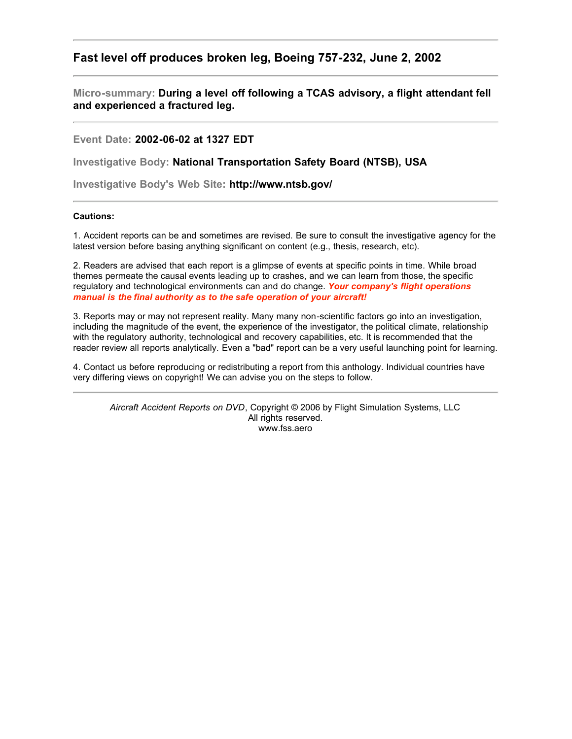## **Fast level off produces broken leg, Boeing 757-232, June 2, 2002**

**Micro-summary: During a level off following a TCAS advisory, a flight attendant fell and experienced a fractured leg.**

**Event Date: 2002-06-02 at 1327 EDT**

**Investigative Body: National Transportation Safety Board (NTSB), USA**

**Investigative Body's Web Site: http://www.ntsb.gov/**

## **Cautions:**

1. Accident reports can be and sometimes are revised. Be sure to consult the investigative agency for the latest version before basing anything significant on content (e.g., thesis, research, etc).

2. Readers are advised that each report is a glimpse of events at specific points in time. While broad themes permeate the causal events leading up to crashes, and we can learn from those, the specific regulatory and technological environments can and do change. *Your company's flight operations manual is the final authority as to the safe operation of your aircraft!*

3. Reports may or may not represent reality. Many many non-scientific factors go into an investigation, including the magnitude of the event, the experience of the investigator, the political climate, relationship with the regulatory authority, technological and recovery capabilities, etc. It is recommended that the reader review all reports analytically. Even a "bad" report can be a very useful launching point for learning.

4. Contact us before reproducing or redistributing a report from this anthology. Individual countries have very differing views on copyright! We can advise you on the steps to follow.

*Aircraft Accident Reports on DVD*, Copyright © 2006 by Flight Simulation Systems, LLC All rights reserved. www.fss.aero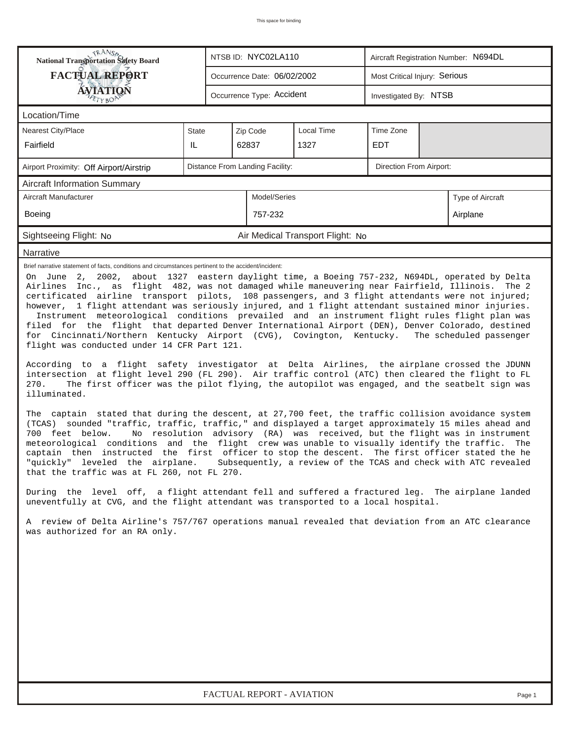| <b>National Transportation Safety Board</b>                                                                                                                                                                                                                                                                                                                                                                                                                                                                                                                                                                                                                                                                                                                                                                                                                                                                                                                                                                                                                                                                                                                                                                                                                                                                                                                                                                                                                                                                                                                                                                                                                                                                                                                                                                                                                                                                                                                                                                                                                                                                                                                                                                   |       | NTSB ID: NYC02LA110             |                                  | Aircraft Registration Number: N694DL |  |  |  |  |  |  |
|---------------------------------------------------------------------------------------------------------------------------------------------------------------------------------------------------------------------------------------------------------------------------------------------------------------------------------------------------------------------------------------------------------------------------------------------------------------------------------------------------------------------------------------------------------------------------------------------------------------------------------------------------------------------------------------------------------------------------------------------------------------------------------------------------------------------------------------------------------------------------------------------------------------------------------------------------------------------------------------------------------------------------------------------------------------------------------------------------------------------------------------------------------------------------------------------------------------------------------------------------------------------------------------------------------------------------------------------------------------------------------------------------------------------------------------------------------------------------------------------------------------------------------------------------------------------------------------------------------------------------------------------------------------------------------------------------------------------------------------------------------------------------------------------------------------------------------------------------------------------------------------------------------------------------------------------------------------------------------------------------------------------------------------------------------------------------------------------------------------------------------------------------------------------------------------------------------------|-------|---------------------------------|----------------------------------|--------------------------------------|--|--|--|--|--|--|
| <b>FACTUAL REPORT</b>                                                                                                                                                                                                                                                                                                                                                                                                                                                                                                                                                                                                                                                                                                                                                                                                                                                                                                                                                                                                                                                                                                                                                                                                                                                                                                                                                                                                                                                                                                                                                                                                                                                                                                                                                                                                                                                                                                                                                                                                                                                                                                                                                                                         |       | Occurrence Date: 06/02/2002     |                                  | Most Critical Injury: Serious        |  |  |  |  |  |  |
| <b>ÁVJATIQN</b>                                                                                                                                                                                                                                                                                                                                                                                                                                                                                                                                                                                                                                                                                                                                                                                                                                                                                                                                                                                                                                                                                                                                                                                                                                                                                                                                                                                                                                                                                                                                                                                                                                                                                                                                                                                                                                                                                                                                                                                                                                                                                                                                                                                               |       | Occurrence Type: Accident       |                                  | Investigated By: NTSB                |  |  |  |  |  |  |
| Location/Time                                                                                                                                                                                                                                                                                                                                                                                                                                                                                                                                                                                                                                                                                                                                                                                                                                                                                                                                                                                                                                                                                                                                                                                                                                                                                                                                                                                                                                                                                                                                                                                                                                                                                                                                                                                                                                                                                                                                                                                                                                                                                                                                                                                                 |       |                                 |                                  |                                      |  |  |  |  |  |  |
| Nearest City/Place                                                                                                                                                                                                                                                                                                                                                                                                                                                                                                                                                                                                                                                                                                                                                                                                                                                                                                                                                                                                                                                                                                                                                                                                                                                                                                                                                                                                                                                                                                                                                                                                                                                                                                                                                                                                                                                                                                                                                                                                                                                                                                                                                                                            | State | Zip Code                        | Local Time                       | Time Zone                            |  |  |  |  |  |  |
| Fairfield                                                                                                                                                                                                                                                                                                                                                                                                                                                                                                                                                                                                                                                                                                                                                                                                                                                                                                                                                                                                                                                                                                                                                                                                                                                                                                                                                                                                                                                                                                                                                                                                                                                                                                                                                                                                                                                                                                                                                                                                                                                                                                                                                                                                     | IL    | 62837                           | 1327                             | <b>EDT</b>                           |  |  |  |  |  |  |
| Airport Proximity: Off Airport/Airstrip                                                                                                                                                                                                                                                                                                                                                                                                                                                                                                                                                                                                                                                                                                                                                                                                                                                                                                                                                                                                                                                                                                                                                                                                                                                                                                                                                                                                                                                                                                                                                                                                                                                                                                                                                                                                                                                                                                                                                                                                                                                                                                                                                                       |       | Distance From Landing Facility: | Direction From Airport:          |                                      |  |  |  |  |  |  |
| <b>Aircraft Information Summary</b>                                                                                                                                                                                                                                                                                                                                                                                                                                                                                                                                                                                                                                                                                                                                                                                                                                                                                                                                                                                                                                                                                                                                                                                                                                                                                                                                                                                                                                                                                                                                                                                                                                                                                                                                                                                                                                                                                                                                                                                                                                                                                                                                                                           |       |                                 |                                  |                                      |  |  |  |  |  |  |
| Aircraft Manufacturer                                                                                                                                                                                                                                                                                                                                                                                                                                                                                                                                                                                                                                                                                                                                                                                                                                                                                                                                                                                                                                                                                                                                                                                                                                                                                                                                                                                                                                                                                                                                                                                                                                                                                                                                                                                                                                                                                                                                                                                                                                                                                                                                                                                         |       | Model/Series                    |                                  | Type of Aircraft                     |  |  |  |  |  |  |
| Boeing                                                                                                                                                                                                                                                                                                                                                                                                                                                                                                                                                                                                                                                                                                                                                                                                                                                                                                                                                                                                                                                                                                                                                                                                                                                                                                                                                                                                                                                                                                                                                                                                                                                                                                                                                                                                                                                                                                                                                                                                                                                                                                                                                                                                        |       | 757-232                         | Airplane                         |                                      |  |  |  |  |  |  |
| Sightseeing Flight: No                                                                                                                                                                                                                                                                                                                                                                                                                                                                                                                                                                                                                                                                                                                                                                                                                                                                                                                                                                                                                                                                                                                                                                                                                                                                                                                                                                                                                                                                                                                                                                                                                                                                                                                                                                                                                                                                                                                                                                                                                                                                                                                                                                                        |       |                                 | Air Medical Transport Flight: No |                                      |  |  |  |  |  |  |
| Narrative                                                                                                                                                                                                                                                                                                                                                                                                                                                                                                                                                                                                                                                                                                                                                                                                                                                                                                                                                                                                                                                                                                                                                                                                                                                                                                                                                                                                                                                                                                                                                                                                                                                                                                                                                                                                                                                                                                                                                                                                                                                                                                                                                                                                     |       |                                 |                                  |                                      |  |  |  |  |  |  |
| Brief narrative statement of facts, conditions and circumstances pertinent to the accident/incident:<br>On June 2, 2002, about 1327 eastern daylight time, a Boeing 757-232, N694DL, operated by Delta<br>Airlines Inc., as flight 482, was not damaged while maneuvering near Fairfield, Illinois. The 2<br>certificated airline transport pilots, 108 passengers, and 3 flight attendants were not injured;<br>however, 1 flight attendant was seriously injured, and 1 flight attendant sustained minor injuries.<br>Instrument meteorological conditions prevailed and an instrument flight rules flight plan was<br>filed for the flight that departed Denver International Airport (DEN), Denver Colorado, destined<br>for Cincinnati/Northern Kentucky Airport (CVG), Covington, Kentucky.<br>The scheduled passenger<br>flight was conducted under 14 CFR Part 121.<br>According to a flight safety investigator at Delta Airlines, the airplane crossed the JDUNN<br>intersection at flight level 290 (FL 290). Air traffic control (ATC) then cleared the flight to FL<br>The first officer was the pilot flying, the autopilot was engaged, and the seatbelt sign was<br>270.<br>illuminated.<br>The captain stated that during the descent, at 27,700 feet, the traffic collision avoidance system<br>(TCAS) sounded "traffic, traffic, traffic," and displayed a target approximately 15 miles ahead and<br>No resolution advisory (RA) was received, but the flight was in instrument<br>700 feet below.<br>meteorological conditions and the flight crew was unable to visually identify the traffic. The<br>captain then instructed the first officer to stop the descent. The first officer stated the he<br>"quickly" leveled the airplane. Subsequently, a review of the TCAS and check with ATC revealed<br>that the traffic was at FL 260, not FL 270.<br>During the level off, a flight attendant fell and suffered a fractured leg. The airplane landed<br>uneventfully at CVG, and the flight attendant was transported to a local hospital.<br>A review of Delta Airline's 757/767 operations manual revealed that deviation from an ATC clearance<br>was authorized for an RA only. |       |                                 |                                  |                                      |  |  |  |  |  |  |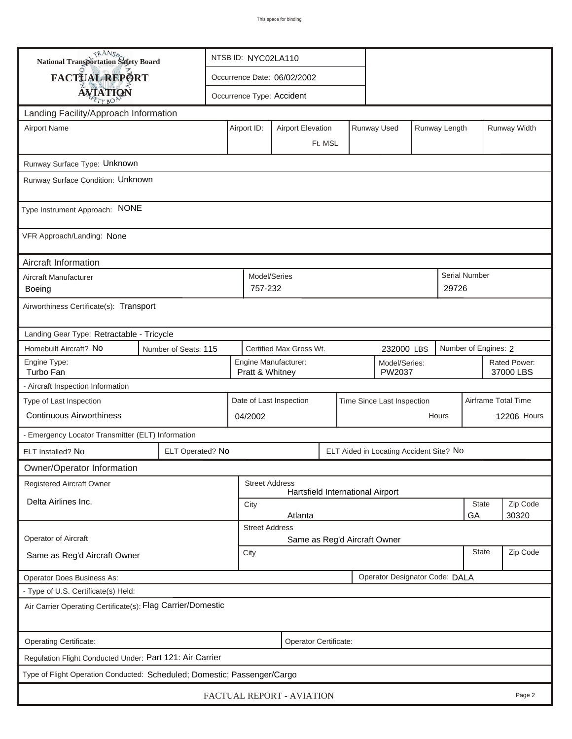| <b>National Transportation Safety Board</b>                                                                     |                                                             | NTSB ID: NYC02LA110                                                     |                       |         |  |  |                                  |          |                           |                      |             |  |
|-----------------------------------------------------------------------------------------------------------------|-------------------------------------------------------------|-------------------------------------------------------------------------|-----------------------|---------|--|--|----------------------------------|----------|---------------------------|----------------------|-------------|--|
| FACTUAL REPORT                                                                                                  |                                                             | Occurrence Date: 06/02/2002                                             |                       |         |  |  |                                  |          |                           |                      |             |  |
| <b>AVIATION</b>                                                                                                 |                                                             | Occurrence Type: Accident                                               |                       |         |  |  |                                  |          |                           |                      |             |  |
| Landing Facility/Approach Information                                                                           |                                                             |                                                                         |                       |         |  |  |                                  |          |                           |                      |             |  |
| <b>Airport Name</b>                                                                                             |                                                             | Runway Used<br>Runway Length<br>Airport ID:<br><b>Airport Elevation</b> |                       |         |  |  |                                  |          |                           | Runway Width         |             |  |
|                                                                                                                 |                                                             | Ft. MSL                                                                 |                       |         |  |  |                                  |          |                           |                      |             |  |
| Runway Surface Type: Unknown                                                                                    |                                                             |                                                                         |                       |         |  |  |                                  |          |                           |                      |             |  |
| Runway Surface Condition: Unknown                                                                               |                                                             |                                                                         |                       |         |  |  |                                  |          |                           |                      |             |  |
|                                                                                                                 |                                                             |                                                                         |                       |         |  |  |                                  |          |                           |                      |             |  |
| Type Instrument Approach: NONE                                                                                  |                                                             |                                                                         |                       |         |  |  |                                  |          |                           |                      |             |  |
| VFR Approach/Landing: None                                                                                      |                                                             |                                                                         |                       |         |  |  |                                  |          |                           |                      |             |  |
| Aircraft Information                                                                                            |                                                             |                                                                         |                       |         |  |  |                                  |          |                           |                      |             |  |
| Aircraft Manufacturer                                                                                           |                                                             |                                                                         | Model/Series          |         |  |  |                                  |          |                           | <b>Serial Number</b> |             |  |
| <b>Boeing</b>                                                                                                   |                                                             |                                                                         | 757-232               |         |  |  |                                  |          | 29726                     |                      |             |  |
|                                                                                                                 | Airworthiness Certificate(s): Transport                     |                                                                         |                       |         |  |  |                                  |          |                           |                      |             |  |
| Landing Gear Type: Retractable - Tricycle                                                                       |                                                             |                                                                         |                       |         |  |  |                                  |          |                           |                      |             |  |
| Homebuilt Aircraft? No<br>Certified Max Gross Wt.<br>Number of Engines: 2<br>Number of Seats: 115<br>232000 LBS |                                                             |                                                                         |                       |         |  |  |                                  |          |                           |                      |             |  |
| Engine Type:<br>Turbo Fan                                                                                       |                                                             | Engine Manufacturer:<br>Model/Series:<br>PW2037<br>Pratt & Whitney      |                       |         |  |  |                                  |          | Rated Power:<br>37000 LBS |                      |             |  |
| - Aircraft Inspection Information                                                                               |                                                             |                                                                         |                       |         |  |  |                                  |          |                           |                      |             |  |
| Type of Last Inspection                                                                                         |                                                             | Date of Last Inspection<br>Time Since Last Inspection                   |                       |         |  |  |                                  |          |                           | Airframe Total Time  |             |  |
| <b>Continuous Airworthiness</b>                                                                                 |                                                             |                                                                         | 04/2002               |         |  |  |                                  |          | Hours                     |                      | 12206 Hours |  |
| - Emergency Locator Transmitter (ELT) Information                                                               |                                                             |                                                                         |                       |         |  |  |                                  |          |                           |                      |             |  |
| ELT Installed? No                                                                                               | ELT Operated? No<br>ELT Aided in Locating Accident Site? No |                                                                         |                       |         |  |  |                                  |          |                           |                      |             |  |
| Owner/Operator Information                                                                                      |                                                             |                                                                         |                       |         |  |  |                                  |          |                           |                      |             |  |
| Registered Aircraft Owner                                                                                       |                                                             |                                                                         | <b>Street Address</b> |         |  |  | Hartsfield International Airport |          |                           |                      |             |  |
| Delta Airlines Inc.                                                                                             |                                                             | City                                                                    |                       |         |  |  |                                  |          | State                     | Zip Code             |             |  |
|                                                                                                                 |                                                             |                                                                         | <b>Street Address</b> | Atlanta |  |  |                                  |          |                           | GА                   | 30320       |  |
| Operator of Aircraft                                                                                            |                                                             |                                                                         |                       |         |  |  | Same as Reg'd Aircraft Owner     |          |                           |                      |             |  |
| Same as Reg'd Aircraft Owner                                                                                    | City                                                        |                                                                         |                       |         |  |  | <b>State</b>                     | Zip Code |                           |                      |             |  |
| Operator Designator Code: DALA<br>Operator Does Business As:                                                    |                                                             |                                                                         |                       |         |  |  |                                  |          |                           |                      |             |  |
| - Type of U.S. Certificate(s) Held:                                                                             |                                                             |                                                                         |                       |         |  |  |                                  |          |                           |                      |             |  |
| Air Carrier Operating Certificate(s): Flag Carrier/Domestic                                                     |                                                             |                                                                         |                       |         |  |  |                                  |          |                           |                      |             |  |
| Operating Certificate:<br>Operator Certificate:                                                                 |                                                             |                                                                         |                       |         |  |  |                                  |          |                           |                      |             |  |
| Regulation Flight Conducted Under: Part 121: Air Carrier                                                        |                                                             |                                                                         |                       |         |  |  |                                  |          |                           |                      |             |  |
| Type of Flight Operation Conducted: Scheduled; Domestic; Passenger/Cargo                                        |                                                             |                                                                         |                       |         |  |  |                                  |          |                           |                      |             |  |
| FACTUAL REPORT - AVIATION<br>Page 2                                                                             |                                                             |                                                                         |                       |         |  |  |                                  |          |                           |                      |             |  |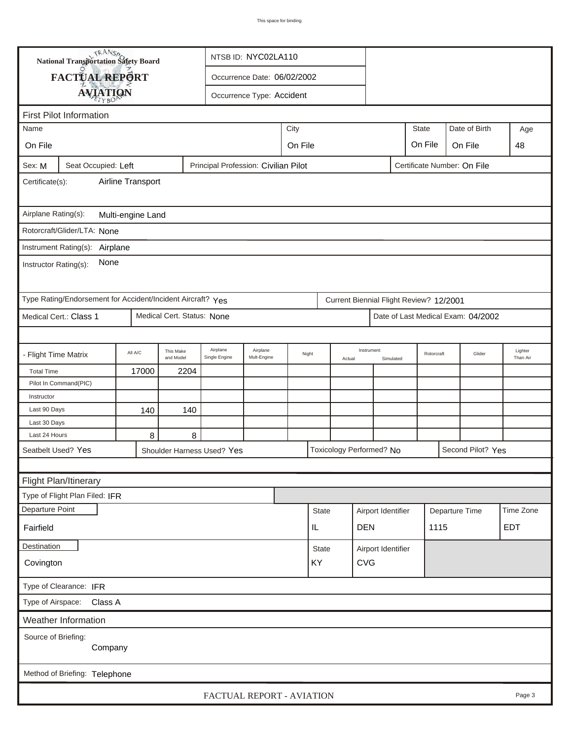|                                                                                                      | <b>National Transportation Safety Board</b><br>NTSB ID: NYC02LA110 |                               |                            |                             |                           |                 |              |            |                          |            |                                         |                |                     |           |
|------------------------------------------------------------------------------------------------------|--------------------------------------------------------------------|-------------------------------|----------------------------|-----------------------------|---------------------------|-----------------|--------------|------------|--------------------------|------------|-----------------------------------------|----------------|---------------------|-----------|
|                                                                                                      | FACTUAL REPORT                                                     |                               |                            | Occurrence Date: 06/02/2002 |                           |                 |              |            |                          |            |                                         |                |                     |           |
|                                                                                                      | <b>AVIATION</b>                                                    |                               |                            |                             | Occurrence Type: Accident |                 |              |            |                          |            |                                         |                |                     |           |
|                                                                                                      |                                                                    |                               |                            |                             |                           |                 |              |            |                          |            |                                         |                |                     |           |
| <b>First Pilot Information</b><br><b>State</b><br>Date of Birth<br>Name                              |                                                                    |                               |                            |                             |                           |                 |              |            |                          |            |                                         |                |                     |           |
|                                                                                                      | City                                                               |                               |                            |                             |                           |                 |              |            |                          |            |                                         |                | Age                 |           |
| On File                                                                                              |                                                                    | On File<br>On File<br>On File |                            |                             |                           |                 |              |            |                          |            |                                         |                | 48                  |           |
| Principal Profession: Civilian Pilot<br>Certificate Number: On File<br>Seat Occupied: Left<br>Sex: M |                                                                    |                               |                            |                             |                           |                 |              |            |                          |            |                                         |                |                     |           |
| Airline Transport<br>Certificate(s):                                                                 |                                                                    |                               |                            |                             |                           |                 |              |            |                          |            |                                         |                |                     |           |
| Airplane Rating(s):<br>Multi-engine Land                                                             |                                                                    |                               |                            |                             |                           |                 |              |            |                          |            |                                         |                |                     |           |
|                                                                                                      | Rotorcraft/Glider/LTA: None                                        |                               |                            |                             |                           |                 |              |            |                          |            |                                         |                |                     |           |
|                                                                                                      |                                                                    |                               |                            |                             |                           |                 |              |            |                          |            |                                         |                |                     |           |
| Instrument Rating(s): Airplane<br>None<br>Instructor Rating(s):                                      |                                                                    |                               |                            |                             |                           |                 |              |            |                          |            |                                         |                |                     |           |
|                                                                                                      | Type Rating/Endorsement for Accident/Incident Aircraft? Yes        |                               |                            |                             |                           |                 |              |            |                          |            | Current Biennial Flight Review? 12/2001 |                |                     |           |
|                                                                                                      | Medical Cert.: Class 1                                             |                               | Medical Cert. Status: None |                             |                           |                 |              |            |                          |            | Date of Last Medical Exam: 04/2002      |                |                     |           |
|                                                                                                      |                                                                    |                               |                            |                             |                           |                 |              |            |                          |            |                                         |                |                     |           |
| - Flight Time Matrix                                                                                 |                                                                    | All A/C                       | This Make<br>and Model     | Airplane<br>Single Engine   | Airplane<br>Mult-Engine   | Night<br>Actual |              | Instrument | Simulated                | Rotorcraft |                                         | Glider         | Lighter<br>Than Air |           |
| <b>Total Time</b>                                                                                    |                                                                    | 17000                         | 2204                       |                             |                           |                 |              |            |                          |            |                                         |                |                     |           |
|                                                                                                      | Pilot In Command(PIC)                                              |                               |                            |                             |                           |                 |              |            |                          |            |                                         |                |                     |           |
| Instructor                                                                                           |                                                                    |                               |                            |                             |                           |                 |              |            |                          |            |                                         |                |                     |           |
| Last 90 Days                                                                                         |                                                                    | 140                           | 140                        |                             |                           |                 |              |            |                          |            |                                         |                |                     |           |
| Last 30 Days<br>Last 24 Hours                                                                        |                                                                    |                               |                            |                             |                           |                 |              |            |                          |            |                                         |                |                     |           |
|                                                                                                      | Seatbelt Used? Yes                                                 | 8                             | 8                          |                             |                           |                 |              |            | Toxicology Performed? No |            |                                         |                | Second Pilot? Yes   |           |
|                                                                                                      |                                                                    |                               |                            | Shoulder Harness Used? Yes  |                           |                 |              |            |                          |            |                                         |                |                     |           |
|                                                                                                      |                                                                    |                               |                            |                             |                           |                 |              |            |                          |            |                                         |                |                     |           |
|                                                                                                      | Flight Plan/Itinerary                                              |                               |                            |                             |                           |                 |              |            |                          |            |                                         |                |                     |           |
|                                                                                                      | Type of Flight Plan Filed: IFR                                     |                               |                            |                             |                           |                 |              |            |                          |            |                                         |                |                     |           |
| Departure Point                                                                                      |                                                                    |                               |                            |                             |                           |                 | <b>State</b> |            | Airport Identifier       |            |                                         | Departure Time |                     | Time Zone |
| Fairfield                                                                                            | <b>EDT</b><br><b>DEN</b><br>1115<br>IL                             |                               |                            |                             |                           |                 |              |            |                          |            |                                         |                |                     |           |
|                                                                                                      | <b>Destination</b><br>Airport Identifier<br>State                  |                               |                            |                             |                           |                 |              |            |                          |            |                                         |                |                     |           |
| KY<br><b>CVG</b><br>Covington                                                                        |                                                                    |                               |                            |                             |                           |                 |              |            |                          |            |                                         |                |                     |           |
| Type of Clearance: IFR                                                                               |                                                                    |                               |                            |                             |                           |                 |              |            |                          |            |                                         |                |                     |           |
| Type of Airspace:<br>Class A                                                                         |                                                                    |                               |                            |                             |                           |                 |              |            |                          |            |                                         |                |                     |           |
|                                                                                                      | Weather Information                                                |                               |                            |                             |                           |                 |              |            |                          |            |                                         |                |                     |           |
| Source of Briefing:<br>Company                                                                       |                                                                    |                               |                            |                             |                           |                 |              |            |                          |            |                                         |                |                     |           |
| Method of Briefing: Telephone                                                                        |                                                                    |                               |                            |                             |                           |                 |              |            |                          |            |                                         |                |                     |           |
| Page 3<br>FACTUAL REPORT - AVIATION                                                                  |                                                                    |                               |                            |                             |                           |                 |              |            |                          |            |                                         |                |                     |           |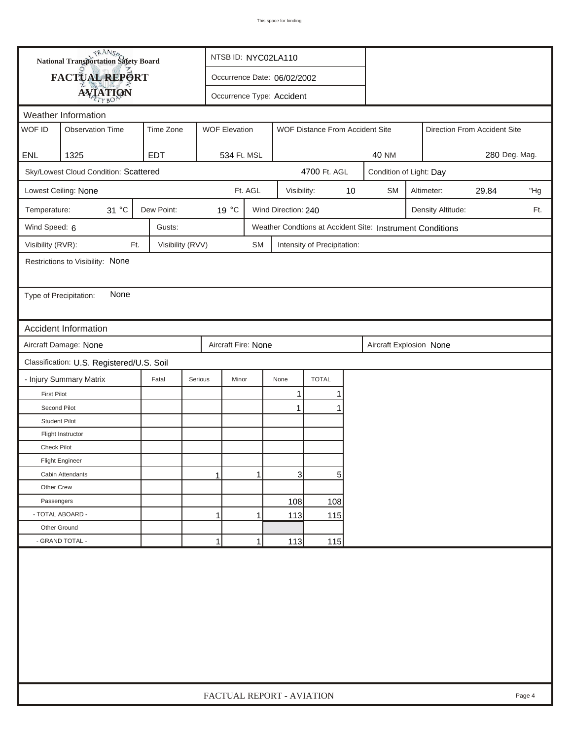|                                                                         | <b>National Transportation Safety Board</b><br>NTSB ID: NYC02LA110 |                             |         |                                                         |                     |                             |    |                                                           |                            |                   |                              |     |  |
|-------------------------------------------------------------------------|--------------------------------------------------------------------|-----------------------------|---------|---------------------------------------------------------|---------------------|-----------------------------|----|-----------------------------------------------------------|----------------------------|-------------------|------------------------------|-----|--|
|                                                                         | FACTUAL REPORT                                                     | Occurrence Date: 06/02/2002 |         |                                                         |                     |                             |    |                                                           |                            |                   |                              |     |  |
|                                                                         | <b>AVIATION</b>                                                    |                             |         | Occurrence Type: Accident                               |                     |                             |    |                                                           |                            |                   |                              |     |  |
| Weather Information                                                     |                                                                    |                             |         |                                                         |                     |                             |    |                                                           |                            |                   |                              |     |  |
| WOF ID                                                                  | <b>Observation Time</b>                                            | Time Zone                   |         | <b>WOF Elevation</b><br>WOF Distance From Accident Site |                     |                             |    |                                                           |                            |                   | Direction From Accident Site |     |  |
| <b>ENL</b>                                                              | 1325                                                               | <b>EDT</b>                  |         | 534 Ft. MSL                                             |                     |                             |    | <b>40 NM</b>                                              |                            |                   | 280 Deg. Mag.                |     |  |
|                                                                         | Sky/Lowest Cloud Condition: Scattered                              |                             |         |                                                         |                     | 4700 Ft. AGL                |    |                                                           | Condition of Light: Day    |                   |                              |     |  |
|                                                                         | Lowest Ceiling: None                                               |                             |         | Ft. AGL                                                 | Visibility:         |                             | 10 | <b>SM</b>                                                 | 29.84<br>"Hg<br>Altimeter: |                   |                              |     |  |
| Temperature:                                                            | 31 °C                                                              | Dew Point:                  | 19 °C   |                                                         | Wind Direction: 240 |                             |    |                                                           |                            | Density Altitude: |                              | Ft. |  |
| Wind Speed: 6                                                           |                                                                    | Gusts:                      |         |                                                         |                     |                             |    | Weather Condtions at Accident Site: Instrument Conditions |                            |                   |                              |     |  |
| Visibility (RVR):                                                       | Ft.                                                                | Visibility (RVV)            |         | <b>SM</b>                                               |                     | Intensity of Precipitation: |    |                                                           |                            |                   |                              |     |  |
|                                                                         | Restrictions to Visibility: None                                   |                             |         |                                                         |                     |                             |    |                                                           |                            |                   |                              |     |  |
|                                                                         |                                                                    |                             |         |                                                         |                     |                             |    |                                                           |                            |                   |                              |     |  |
| Type of Precipitation:                                                  | None                                                               |                             |         |                                                         |                     |                             |    |                                                           |                            |                   |                              |     |  |
|                                                                         |                                                                    |                             |         |                                                         |                     |                             |    |                                                           |                            |                   |                              |     |  |
|                                                                         | <b>Accident Information</b>                                        |                             |         |                                                         |                     |                             |    |                                                           |                            |                   |                              |     |  |
| Aircraft Damage: None<br>Aircraft Fire: None<br>Aircraft Explosion None |                                                                    |                             |         |                                                         |                     |                             |    |                                                           |                            |                   |                              |     |  |
|                                                                         | Classification: U.S. Registered/U.S. Soil                          |                             |         |                                                         |                     |                             |    |                                                           |                            |                   |                              |     |  |
|                                                                         | - Injury Summary Matrix                                            | Fatal                       | Serious | Minor                                                   | None                | <b>TOTAL</b>                |    |                                                           |                            |                   |                              |     |  |
| <b>First Pilot</b>                                                      |                                                                    |                             |         |                                                         | 1                   |                             |    |                                                           |                            |                   |                              |     |  |
| Second Pilot                                                            |                                                                    |                             |         |                                                         | $\mathbf{1}$        |                             |    |                                                           |                            |                   |                              |     |  |
| <b>Student Pilot</b>                                                    |                                                                    |                             |         |                                                         |                     |                             |    |                                                           |                            |                   |                              |     |  |
|                                                                         | Flight Instructor                                                  |                             |         |                                                         |                     |                             |    |                                                           |                            |                   |                              |     |  |
| Check Pilot                                                             |                                                                    |                             |         |                                                         |                     |                             |    |                                                           |                            |                   |                              |     |  |
|                                                                         | <b>Flight Engineer</b>                                             |                             |         |                                                         |                     |                             |    |                                                           |                            |                   |                              |     |  |
|                                                                         | Cabin Attendants                                                   |                             | 1       | 1                                                       | 31                  | 5                           |    |                                                           |                            |                   |                              |     |  |
| Other Crew                                                              |                                                                    |                             |         |                                                         |                     |                             |    |                                                           |                            |                   |                              |     |  |
| Passengers                                                              |                                                                    |                             |         |                                                         | 108                 | 108                         |    |                                                           |                            |                   |                              |     |  |
| - TOTAL ABOARD -                                                        |                                                                    | 1<br>113<br>115<br>1        |         |                                                         |                     |                             |    |                                                           |                            |                   |                              |     |  |
| Other Ground                                                            |                                                                    |                             |         |                                                         |                     |                             |    |                                                           |                            |                   |                              |     |  |
|                                                                         | - GRAND TOTAL -                                                    |                             | 1       | 1                                                       | 113                 | 115                         |    |                                                           |                            |                   |                              |     |  |
|                                                                         |                                                                    |                             |         |                                                         |                     |                             |    |                                                           |                            |                   |                              |     |  |
|                                                                         | FACTUAL REPORT - AVIATION<br>Page 4                                |                             |         |                                                         |                     |                             |    |                                                           |                            |                   |                              |     |  |